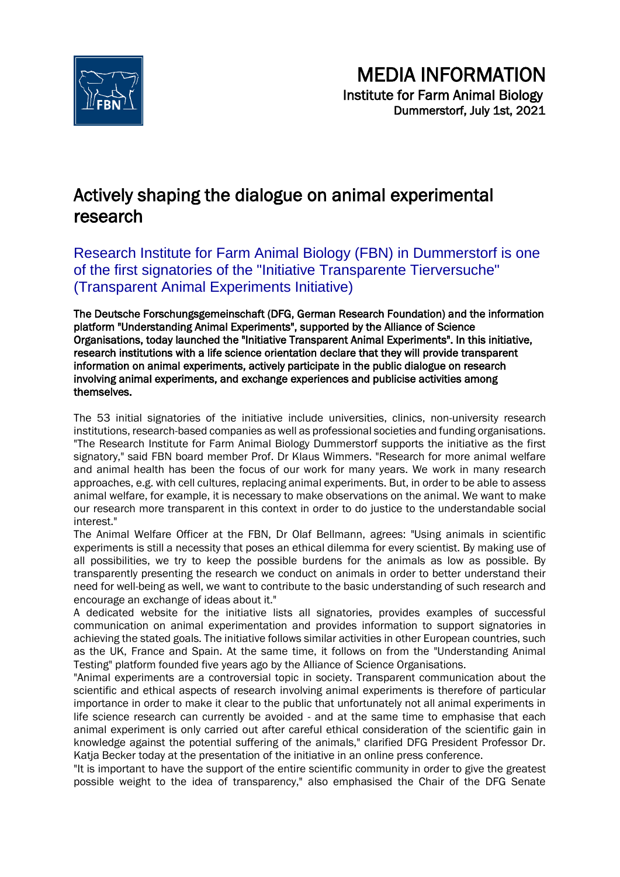

# Actively shaping the dialogue on animal experimental research

Research Institute for Farm Animal Biology (FBN) in Dummerstorf is one of the first signatories of the "Initiative Transparente Tierversuche" (Transparent Animal Experiments Initiative)

The Deutsche Forschungsgemeinschaft (DFG, German Research Foundation) and the information platform "Understanding Animal Experiments", supported by the Alliance of Science Organisations, today launched the "Initiative Transparent Animal Experiments". In this initiative, research institutions with a life science orientation declare that they will provide transparent information on animal experiments, actively participate in the public dialogue on research involving animal experiments, and exchange experiences and publicise activities among themselves.

The 53 initial signatories of the initiative include universities, clinics, non-university research institutions, research-based companies as well as professional societies and funding organisations. "The Research Institute for Farm Animal Biology Dummerstorf supports the initiative as the first signatory," said FBN board member Prof. Dr Klaus Wimmers. "Research for more animal welfare and animal health has been the focus of our work for many years. We work in many research approaches, e.g. with cell cultures, replacing animal experiments. But, in order to be able to assess animal welfare, for example, it is necessary to make observations on the animal. We want to make our research more transparent in this context in order to do justice to the understandable social interest."

The Animal Welfare Officer at the FBN, Dr Olaf Bellmann, agrees: "Using animals in scientific experiments is still a necessity that poses an ethical dilemma for every scientist. By making use of all possibilities, we try to keep the possible burdens for the animals as low as possible. By transparently presenting the research we conduct on animals in order to better understand their need for well-being as well, we want to contribute to the basic understanding of such research and encourage an exchange of ideas about it."

A dedicated website for the initiative lists all signatories, provides examples of successful communication on animal experimentation and provides information to support signatories in achieving the stated goals. The initiative follows similar activities in other European countries, such as the UK, France and Spain. At the same time, it follows on from the "Understanding Animal Testing" platform founded five years ago by the Alliance of Science Organisations.

"Animal experiments are a controversial topic in society. Transparent communication about the scientific and ethical aspects of research involving animal experiments is therefore of particular importance in order to make it clear to the public that unfortunately not all animal experiments in life science research can currently be avoided - and at the same time to emphasise that each animal experiment is only carried out after careful ethical consideration of the scientific gain in knowledge against the potential suffering of the animals," clarified DFG President Professor Dr. Katja Becker today at the presentation of the initiative in an online press conference.

"It is important to have the support of the entire scientific community in order to give the greatest possible weight to the idea of transparency," also emphasised the Chair of the DFG Senate